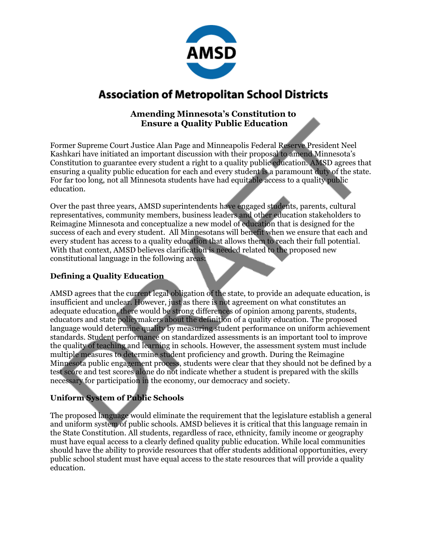

## **Association of Metropolitan School Districts**

## **Amending Minnesota's Constitution to Ensure a Quality Public Education**

Former Supreme Court Justice Alan Page and Minneapolis Federal Reserve President Neel Kashkari have initiated an important discussion with their proposal to amend Minnesota's Constitution to guarantee every student a right to a quality public education. AMSD agrees that ensuring a quality public education for each and every student is a paramount duty of the state. For far too long, not all Minnesota students have had equitable access to a quality public education.

Over the past three years, AMSD superintendents have engaged students, parents, cultural representatives, community members, business leaders and other education stakeholders to Reimagine Minnesota and conceptualize a new model of education that is designed for the success of each and every student. All Minnesotans will benefit when we ensure that each and every student has access to a quality education that allows them to reach their full potential. With that context, AMSD believes clarification is needed related to the proposed new constitutional language in the following areas:

## **Defining a Quality Education**

AMSD agrees that the current legal obligation of the state, to provide an adequate education, is insufficient and unclear. However, just as there is not agreement on what constitutes an adequate education, there would be strong differences of opinion among parents, students, educators and state policymakers about the definition of a quality education. The proposed language would determine quality by measuring student performance on uniform achievement standards. Student performance on standardized assessments is an important tool to improve the quality of teaching and learning in schools. However, the assessment system must include multiple measures to determine student proficiency and growth. During the Reimagine Minnesota public engagement process, students were clear that they should not be defined by a test score and test scores alone do not indicate whether a student is prepared with the skills necessary for participation in the economy, our democracy and society.

#### **Uniform System of Public Schools**

The proposed language would eliminate the requirement that the legislature establish a general and uniform system of public schools. AMSD believes it is critical that this language remain in the State Constitution. All students, regardless of race, ethnicity, family income or geography must have equal access to a clearly defined quality public education. While local communities should have the ability to provide resources that offer students additional opportunities, every public school student must have equal access to the state resources that will provide a quality education.